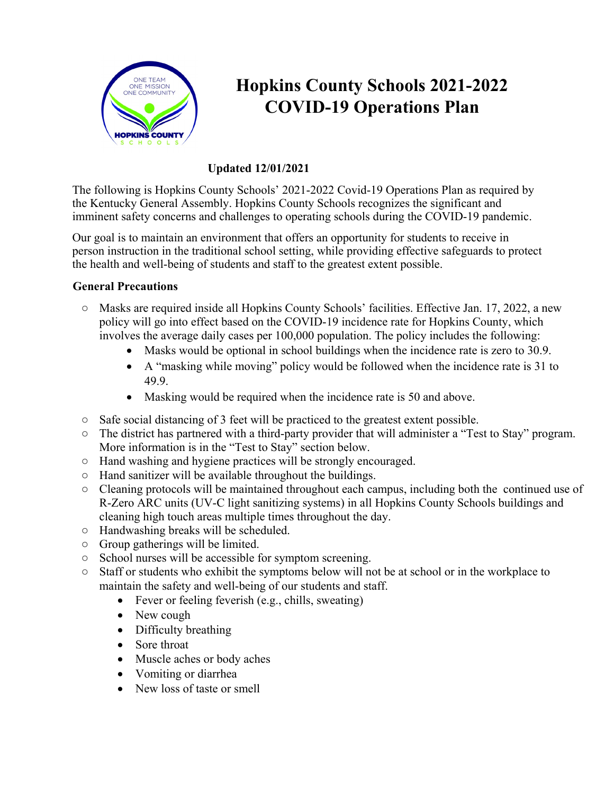

# **Hopkins County Schools 2021-2022 COVID-19 Operations Plan**

## **Updated 12/01/2021**

The following is Hopkins County Schools' 2021-2022 Covid-19 Operations Plan as required by the Kentucky General Assembly. Hopkins County Schools recognizes the significant and imminent safety concerns and challenges to operating schools during the COVID-19 pandemic.

Our goal is to maintain an environment that offers an opportunity for students to receive in person instruction in the traditional school setting, while providing effective safeguards to protect the health and well-being of students and staff to the greatest extent possible.

#### **General Precautions**

- Masks are required inside all Hopkins County Schools' facilities. Effective Jan. 17, 2022, a new policy will go into effect based on the COVID-19 incidence rate for Hopkins County, which involves the average daily cases per 100,000 population. The policy includes the following:
	- Masks would be optional in school buildings when the incidence rate is zero to 30.9.
	- A "masking while moving" policy would be followed when the incidence rate is 31 to 49.9.
	- Masking would be required when the incidence rate is 50 and above.
- Safe social distancing of 3 feet will be practiced to the greatest extent possible.
- The district has partnered with a third-party provider that will administer a "Test to Stay" program. More information is in the "Test to Stay" section below.
- Hand washing and hygiene practices will be strongly encouraged.
- Hand sanitizer will be available throughout the buildings.
- Cleaning protocols will be maintained throughout each campus, including both the continued use of R-Zero ARC units (UV-C light sanitizing systems) in all Hopkins County Schools buildings and cleaning high touch areas multiple times throughout the day.
- Handwashing breaks will be scheduled.
- Group gatherings will be limited.
- School nurses will be accessible for symptom screening.
- Staff or students who exhibit the symptoms below will not be at school or in the workplace to maintain the safety and well-being of our students and staff.
	- Fever or feeling feverish (e.g., chills, sweating)
	- New cough
	- Difficulty breathing
	- Sore throat
	- Muscle aches or body aches
	- Vomiting or diarrhea
	- New loss of taste or smell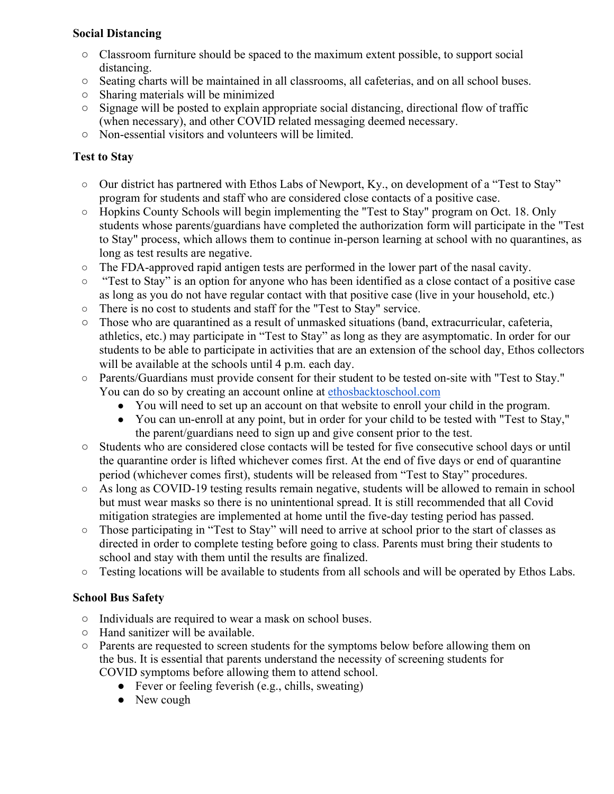#### **Social Distancing**

- Classroom furniture should be spaced to the maximum extent possible, to support social distancing.
- Seating charts will be maintained in all classrooms, all cafeterias, and on all school buses.
- Sharing materials will be minimized
- Signage will be posted to explain appropriate social distancing, directional flow of traffic (when necessary), and other COVID related messaging deemed necessary.
- Non-essential visitors and volunteers will be limited.

## **Test to Stay**

- Our district has partnered with Ethos Labs of Newport, Ky., on development of a "Test to Stay" program for students and staff who are considered close contacts of a positive case.
- Hopkins County Schools will begin implementing the "Test to Stay" program on Oct. 18. Only students whose parents/guardians have completed the authorization form will participate in the "Test to Stay" process, which allows them to continue in-person learning at school with no quarantines, as long as test results are negative.
- The FDA-approved rapid antigen tests are performed in the lower part of the nasal cavity.
- "Test to Stay" is an option for anyone who has been identified as a close contact of a positive case as long as you do not have regular contact with that positive case (live in your household, etc.)
- There is no cost to students and staff for the "Test to Stay" service.
- Those who are quarantined as a result of unmasked situations (band, extracurricular, cafeteria, athletics, etc.) may participate in "Test to Stay" as long as they are asymptomatic. In order for our students to be able to participate in activities that are an extension of the school day, Ethos collectors will be available at the schools until 4 p.m. each day.
- Parents/Guardians must provide consent for their student to be tested on-site with "Test to Stay." You can do so by creating an account online a[t](http://www.ethosbacktoschool.com/) [ethosbacktoschool.com](http://www.ethosbacktoschool.com/)
	- You will need to set up an account on that website to enroll your child in the program.
	- You can un-enroll at any point, but in order for your child to be tested with "Test to Stay," the parent/guardians need to sign up and give consent prior to the test.
- Students who are considered close contacts will be tested for five consecutive school days or until the quarantine order is lifted whichever comes first. At the end of five days or end of quarantine period (whichever comes first), students will be released from "Test to Stay" procedures.
- $\circ$  As long as COVID-19 testing results remain negative, students will be allowed to remain in school but must wear masks so there is no unintentional spread. It is still recommended that all Covid mitigation strategies are implemented at home until the five-day testing period has passed.
- Those participating in "Test to Stay" will need to arrive at school prior to the start of classes as directed in order to complete testing before going to class. Parents must bring their students to school and stay with them until the results are finalized.
- $\circ$  Testing locations will be available to students from all schools and will be operated by Ethos Labs.

# **School Bus Safety**

- Individuals are required to wear a mask on school buses.
- Hand sanitizer will be available.
- Parents are requested to screen students for the symptoms below before allowing them on the bus. It is essential that parents understand the necessity of screening students for COVID symptoms before allowing them to attend school.
	- Fever or feeling feverish (e.g., chills, sweating)
	- New cough